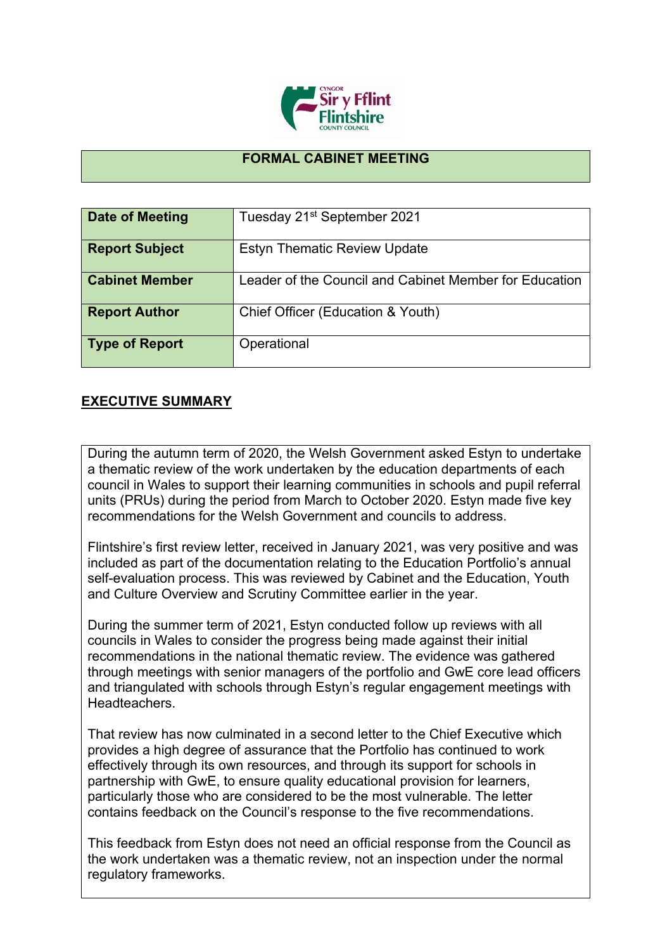

## **FORMAL CABINET MEETING**

| Date of Meeting       | Tuesday 21 <sup>st</sup> September 2021                |
|-----------------------|--------------------------------------------------------|
| <b>Report Subject</b> | <b>Estyn Thematic Review Update</b>                    |
| <b>Cabinet Member</b> | Leader of the Council and Cabinet Member for Education |
| <b>Report Author</b>  | Chief Officer (Education & Youth)                      |
| <b>Type of Report</b> | Operational                                            |

## **EXECUTIVE SUMMARY**

During the autumn term of 2020, the Welsh Government asked Estyn to undertake a thematic review of the work undertaken by the education departments of each council in Wales to support their learning communities in schools and pupil referral units (PRUs) during the period from March to October 2020. Estyn made five key recommendations for the Welsh Government and councils to address.

Flintshire's first review letter, received in January 2021, was very positive and was included as part of the documentation relating to the Education Portfolio's annual self-evaluation process. This was reviewed by Cabinet and the Education, Youth and Culture Overview and Scrutiny Committee earlier in the year.

During the summer term of 2021, Estyn conducted follow up reviews with all councils in Wales to consider the progress being made against their initial recommendations in the national thematic review. The evidence was gathered through meetings with senior managers of the portfolio and GwE core lead officers and triangulated with schools through Estyn's regular engagement meetings with Headteachers.

That review has now culminated in a second letter to the Chief Executive which provides a high degree of assurance that the Portfolio has continued to work effectively through its own resources, and through its support for schools in partnership with GwE, to ensure quality educational provision for learners, particularly those who are considered to be the most vulnerable. The letter contains feedback on the Council's response to the five recommendations.

This feedback from Estyn does not need an official response from the Council as the work undertaken was a thematic review, not an inspection under the normal regulatory frameworks.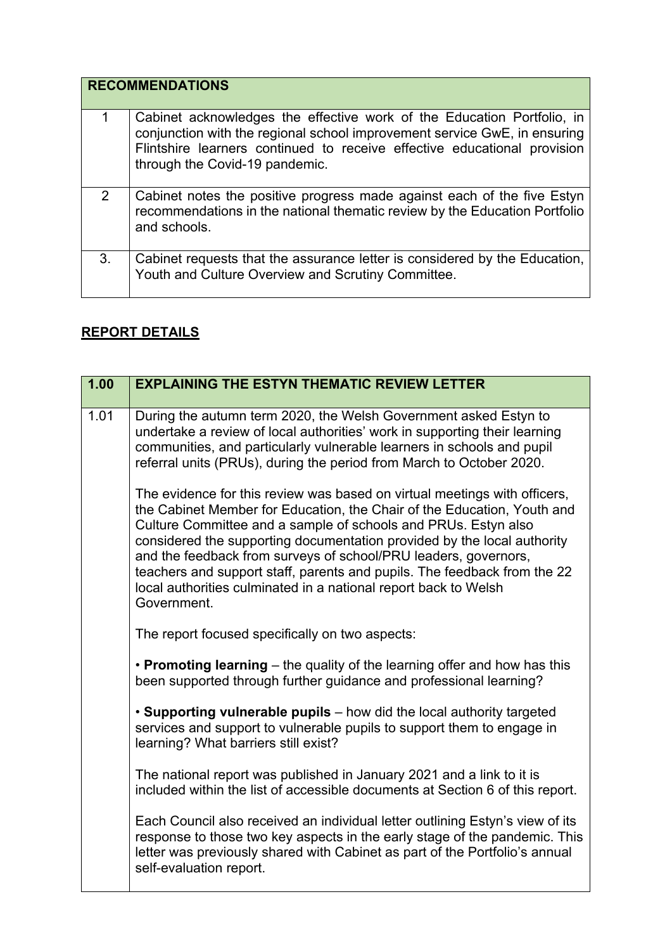|    | <b>RECOMMENDATIONS</b>                                                                                                                                                                                                                                            |
|----|-------------------------------------------------------------------------------------------------------------------------------------------------------------------------------------------------------------------------------------------------------------------|
| 1  | Cabinet acknowledges the effective work of the Education Portfolio, in<br>conjunction with the regional school improvement service GwE, in ensuring<br>Flintshire learners continued to receive effective educational provision<br>through the Covid-19 pandemic. |
| 2  | Cabinet notes the positive progress made against each of the five Estyn<br>recommendations in the national thematic review by the Education Portfolio<br>and schools.                                                                                             |
| 3. | Cabinet requests that the assurance letter is considered by the Education,<br>Youth and Culture Overview and Scrutiny Committee.                                                                                                                                  |

## **REPORT DETAILS**

| 1.00 | <b>EXPLAINING THE ESTYN THEMATIC REVIEW LETTER</b>                                                                                                                                                                                                                                                                                                                                                                                                                                                                                 |
|------|------------------------------------------------------------------------------------------------------------------------------------------------------------------------------------------------------------------------------------------------------------------------------------------------------------------------------------------------------------------------------------------------------------------------------------------------------------------------------------------------------------------------------------|
| 1.01 | During the autumn term 2020, the Welsh Government asked Estyn to<br>undertake a review of local authorities' work in supporting their learning<br>communities, and particularly vulnerable learners in schools and pupil<br>referral units (PRUs), during the period from March to October 2020.                                                                                                                                                                                                                                   |
|      | The evidence for this review was based on virtual meetings with officers,<br>the Cabinet Member for Education, the Chair of the Education, Youth and<br>Culture Committee and a sample of schools and PRUs. Estyn also<br>considered the supporting documentation provided by the local authority<br>and the feedback from surveys of school/PRU leaders, governors,<br>teachers and support staff, parents and pupils. The feedback from the 22<br>local authorities culminated in a national report back to Welsh<br>Government. |
|      | The report focused specifically on two aspects:                                                                                                                                                                                                                                                                                                                                                                                                                                                                                    |
|      | • Promoting learning – the quality of the learning offer and how has this<br>been supported through further guidance and professional learning?                                                                                                                                                                                                                                                                                                                                                                                    |
|      | • Supporting vulnerable pupils – how did the local authority targeted<br>services and support to vulnerable pupils to support them to engage in<br>learning? What barriers still exist?                                                                                                                                                                                                                                                                                                                                            |
|      | The national report was published in January 2021 and a link to it is<br>included within the list of accessible documents at Section 6 of this report.                                                                                                                                                                                                                                                                                                                                                                             |
|      | Each Council also received an individual letter outlining Estyn's view of its<br>response to those two key aspects in the early stage of the pandemic. This<br>letter was previously shared with Cabinet as part of the Portfolio's annual<br>self-evaluation report.                                                                                                                                                                                                                                                              |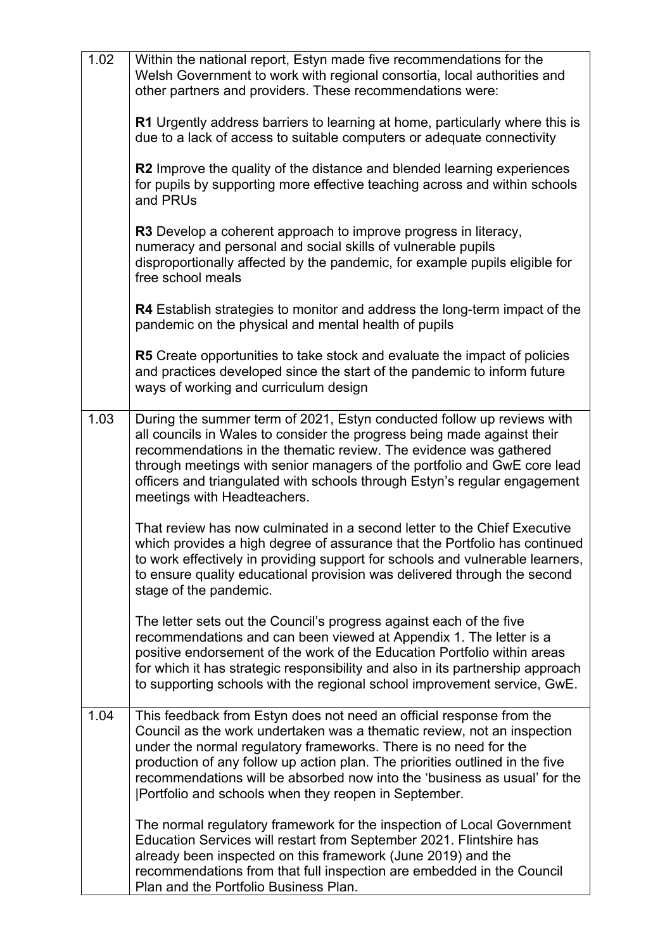| 1.02 | Within the national report, Estyn made five recommendations for the<br>Welsh Government to work with regional consortia, local authorities and<br>other partners and providers. These recommendations were:                                                                                                                                                                                                                               |
|------|-------------------------------------------------------------------------------------------------------------------------------------------------------------------------------------------------------------------------------------------------------------------------------------------------------------------------------------------------------------------------------------------------------------------------------------------|
|      | R1 Urgently address barriers to learning at home, particularly where this is<br>due to a lack of access to suitable computers or adequate connectivity                                                                                                                                                                                                                                                                                    |
|      | R2 Improve the quality of the distance and blended learning experiences<br>for pupils by supporting more effective teaching across and within schools<br>and PRUs                                                                                                                                                                                                                                                                         |
|      | R3 Develop a coherent approach to improve progress in literacy,<br>numeracy and personal and social skills of vulnerable pupils<br>disproportionally affected by the pandemic, for example pupils eligible for<br>free school meals                                                                                                                                                                                                       |
|      | R4 Establish strategies to monitor and address the long-term impact of the<br>pandemic on the physical and mental health of pupils                                                                                                                                                                                                                                                                                                        |
|      | R5 Create opportunities to take stock and evaluate the impact of policies<br>and practices developed since the start of the pandemic to inform future<br>ways of working and curriculum design                                                                                                                                                                                                                                            |
| 1.03 | During the summer term of 2021, Estyn conducted follow up reviews with<br>all councils in Wales to consider the progress being made against their<br>recommendations in the thematic review. The evidence was gathered<br>through meetings with senior managers of the portfolio and GwE core lead<br>officers and triangulated with schools through Estyn's regular engagement<br>meetings with Headteachers.                            |
|      | That review has now culminated in a second letter to the Chief Executive<br>which provides a high degree of assurance that the Portfolio has continued<br>to work effectively in providing support for schools and vulnerable learners,<br>to ensure quality educational provision was delivered through the second<br>stage of the pandemic.                                                                                             |
|      | The letter sets out the Council's progress against each of the five<br>recommendations and can been viewed at Appendix 1. The letter is a<br>positive endorsement of the work of the Education Portfolio within areas<br>for which it has strategic responsibility and also in its partnership approach<br>to supporting schools with the regional school improvement service, GwE.                                                       |
| 1.04 | This feedback from Estyn does not need an official response from the<br>Council as the work undertaken was a thematic review, not an inspection<br>under the normal regulatory frameworks. There is no need for the<br>production of any follow up action plan. The priorities outlined in the five<br>recommendations will be absorbed now into the 'business as usual' for the<br>[Portfolio and schools when they reopen in September. |
|      | The normal regulatory framework for the inspection of Local Government<br>Education Services will restart from September 2021. Flintshire has<br>already been inspected on this framework (June 2019) and the<br>recommendations from that full inspection are embedded in the Council<br>Plan and the Portfolio Business Plan.                                                                                                           |